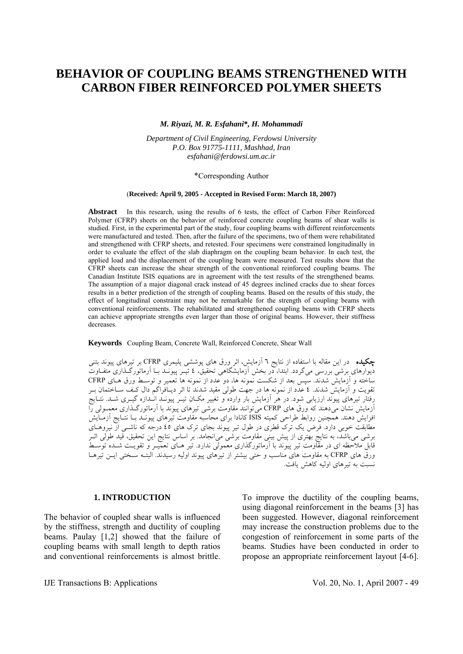# **BEHAVIOR OF COUPLING BEAMS STRENGTHENED WITH CARBON FIBER REINFORCED POLYMER SHEETS**

#### *M. Riyazi, M. R. Esfahani***\****, H. Mohammadi*

*Department of Civil Engineering, Ferdowsi University P.O. Box 91775-1111, Mashhad, Iran esfahani@ferdowsi.um.ac.ir* 

#### \*Corresponding Author

#### (**Received: April 9, 2005 - Accepted in Revised Form: March 18, 2007)**

**Abstract** In this research, using the results of 6 tests, the effect of Carbon Fiber Reinforced Polymer (CFRP) sheets on the behavior of reinforced concrete coupling beams of shear walls is studied. First, in the experimental part of the study, four coupling beams with different reinforcements were manufactured and tested. Then, after the failure of the specimens, two of them were rehabilitated and strengthened with CFRP sheets, and retested. Four specimens were constrained longitudinally in order to evaluate the effect of the slab diaphragm on the coupling beam behavior. In each test, the applied load and the displacement of the coupling beam were measured. Test results show that the CFRP sheets can increase the shear strength of the conventional reinforced coupling beams. The Canadian Institute ISIS equations are in agreement with the test results of the strengthened beams. The assumption of a major diagonal crack instead of 45 degrees inclined cracks due to shear forces results in a better prediction of the strength of coupling beams. Based on the results of this study, the effect of longitudinal constraint may not be remarkable for the strength of coupling beams with conventional reinforcements. The rehabilitated and strengthened coupling beams with CFRP sheets can achieve appropriate strengths even larger than those of original beams. However, their stiffness decreases.

**Keywords** Coupling Beam, Concrete Wall, Reinforced Concrete, Shear Wall

چكيده در اين مقاله با استفاده از نتايج ٦ آزمايش، اثر ورق های پوششی پليمری CFRP بر تيرهای پيوند بتنی ديوارهای برشی بررسی میگردد. ابتدا، در بخش آزمايشگاهی تحقيق، ٤ تيـر پيونـد بـا آرماتورگـذاری متفـاوت ساخته و آزمايش شدند. سپس بعد از شکست نمونه ها، دو عدد از نمونه ها تعمير و توسـط ورق هـای CFRP تقويت و آزمايش شدند. ٤ عدد از نمونه ها در جهت طولی مقيد شدند تا اثر ديـافراگم دال کـف سـاختمان بـر رفتار تيرهای پيوند ارزيابی شود. در هر آزمايش بار وارده و تغيير مکـان تيـر پيونـد انـدازه گيـری شـد. نتـايج آزمايش نشان میدهند که ورق های CFRP میتوانند مقاومت برشی تيرهای پيوند با آرماتورگـذاری معمـولی را افزايش دهند. همچنين روابط طراحی کميته ISIS کانادا برای محاسبه مقاومت تيرهای پيونـد بـا نتـايج آزمـايش مطابقت خوبی دارد. فرض يک ترک قطری در طول تير پيوند بجای ترک های ٤٥ درجه که ناشـی از نيروهـای برشی میباشد، به نتايج بهتری از پيش بينی مقاومت برشی میانجامد. بر اساس نتايج اين تحقيق، قيد طولی اثـر قابل ملاحظه ای در مقاومت تير پيوند با آرماتورگذاری معمولی ندارد. تير هـای تعميـر و تقويـت شـده توسـط ورق های CFRP به مقاومت های مناسب و حتی بيشتر از تيرهای پيوند اوليه رسيدند. البتـه سـختی ايـن تيرهـا نسبت به تيرهای اوليه کاهش يافت.

## **1. INTRODUCTION**

The behavior of coupled shear walls is influenced by the stiffness, strength and ductility of coupling beams. Paulay [1,2] showed that the failure of coupling beams with small length to depth ratios and conventional reinforcements is almost brittle.

To improve the ductility of the coupling beams, using diagonal reinforcement in the beams [3] has been suggested. However, diagonal reinforcement may increase the construction problems due to the congestion of reinforcement in some parts of the beams. Studies have been conducted in order to propose an appropriate reinforcement layout [4-6].

IJE Transactions B: Applications Vol. 20, No. 1, April 2007 - 49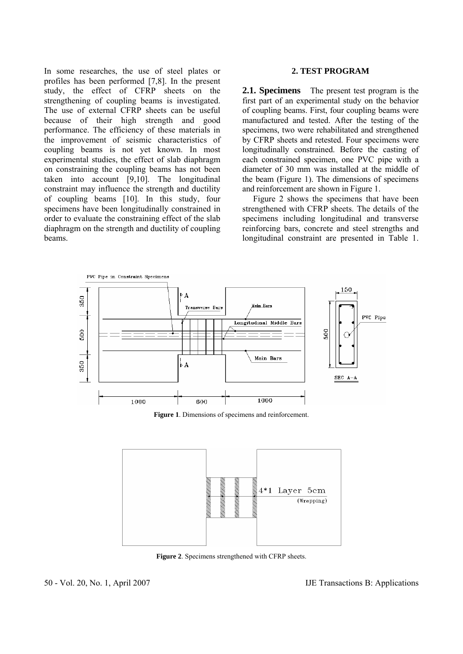In some researches, the use of steel plates or profiles has been performed [7,8]. In the present study, the effect of CFRP sheets on the strengthening of coupling beams is investigated. The use of external CFRP sheets can be useful because of their high strength and good performance. The efficiency of these materials in the improvement of seismic characteristics of coupling beams is not yet known. In most experimental studies, the effect of slab diaphragm on constraining the coupling beams has not been taken into account [9,10]. The longitudinal constraint may influence the strength and ductility of coupling beams [10]. In this study, four specimens have been longitudinally constrained in order to evaluate the constraining effect of the slab diaphragm on the strength and ductility of coupling beams.

## **2. TEST PROGRAM**

**2.1. Specimens** The present test program is the first part of an experimental study on the behavior of coupling beams. First, four coupling beams were manufactured and tested. After the testing of the specimens, two were rehabilitated and strengthened by CFRP sheets and retested. Four specimens were longitudinally constrained. Before the casting of each constrained specimen, one PVC pipe with a diameter of 30 mm was installed at the middle of the beam (Figure 1). The dimensions of specimens and reinforcement are shown in Figure 1.

 Figure 2 shows the specimens that have been strengthened with CFRP sheets. The details of the specimens including longitudinal and transverse reinforcing bars, concrete and steel strengths and longitudinal constraint are presented in Table 1.



**Figure 1**. Dimensions of specimens and reinforcement.



**Figure 2**. Specimens strengthened with CFRP sheets.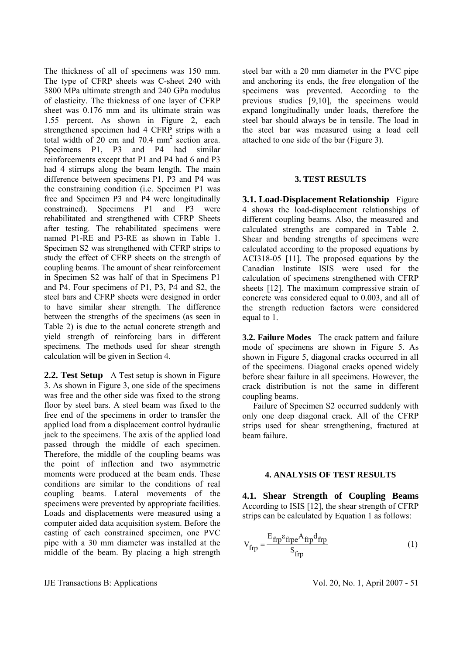The thickness of all of specimens was 150 mm. The type of CFRP sheets was C-sheet 240 with 3800 MPa ultimate strength and 240 GPa modulus of elasticity. The thickness of one layer of CFRP sheet was 0.176 mm and its ultimate strain was 1.55 percent. As shown in Figure 2, each strengthened specimen had 4 CFRP strips with a total width of  $20 \text{ cm}$  and  $70.4 \text{ mm}^2$  section area. Specimens P1, P3 and P4 had similar reinforcements except that P1 and P4 had 6 and P3 had 4 stirrups along the beam length. The main difference between specimens P1, P3 and P4 was the constraining condition (i.e. Specimen P1 was free and Specimen P3 and P4 were longitudinally constrained). Specimens P1 and P3 were rehabilitated and strengthened with CFRP Sheets after testing. The rehabilitated specimens were named P1-RE and P3-RE as shown in Table 1. Specimen S2 was strengthened with CFRP strips to study the effect of CFRP sheets on the strength of coupling beams. The amount of shear reinforcement in Specimen S2 was half of that in Specimens P1 and P4. Four specimens of P1, P3, P4 and S2, the steel bars and CFRP sheets were designed in order to have similar shear strength. The difference between the strengths of the specimens (as seen in Table 2) is due to the actual concrete strength and yield strength of reinforcing bars in different specimens. The methods used for shear strength calculation will be given in Section 4.

**2.2. Test Setup** A Test setup is shown in Figure 3. As shown in Figure 3, one side of the specimens was free and the other side was fixed to the strong floor by steel bars. A steel beam was fixed to the free end of the specimens in order to transfer the applied load from a displacement control hydraulic jack to the specimens. The axis of the applied load passed through the middle of each specimen. Therefore, the middle of the coupling beams was the point of inflection and two asymmetric moments were produced at the beam ends. These conditions are similar to the conditions of real coupling beams. Lateral movements of the specimens were prevented by appropriate facilities. Loads and displacements were measured using a computer aided data acquisition system. Before the casting of each constrained specimen, one PVC pipe with a 30 mm diameter was installed at the middle of the beam. By placing a high strength steel bar with a 20 mm diameter in the PVC pipe and anchoring its ends, the free elongation of the specimens was prevented. According to the previous studies [9,10], the specimens would expand longitudinally under loads, therefore the steel bar should always be in tensile. The load in the steel bar was measured using a load cell attached to one side of the bar (Figure 3).

## **3. TEST RESULTS**

**3.1. Load-Displacement Relationship** Figure 4 shows the load-displacement relationships of different coupling beams. Also, the measured and calculated strengths are compared in Table 2. Shear and bending strengths of specimens were calculated according to the proposed equations by ACI318-05 [11]. The proposed equations by the Canadian Institute ISIS were used for the calculation of specimens strengthened with CFRP sheets [12]. The maximum compressive strain of concrete was considered equal to 0.003, and all of the strength reduction factors were considered equal to 1.

**3.2. Failure Modes** The crack pattern and failure mode of specimens are shown in Figure 5. As shown in Figure 5, diagonal cracks occurred in all of the specimens. Diagonal cracks opened widely before shear failure in all specimens. However, the crack distribution is not the same in different coupling beams.

 Failure of Specimen S2 occurred suddenly with only one deep diagonal crack. All of the CFRP strips used for shear strengthening, fractured at beam failure.

# **4. ANALYSIS OF TEST RESULTS**

**4.1. Shear Strength of Coupling Beams**  According to ISIS [12], the shear strength of CFRP strips can be calculated by Equation 1 as follows:

$$
V_{frp} = \frac{E_{frp} \varepsilon_{frpe} A_{frp} d_{frp}}{S_{frp}}
$$
 (1)

IJE Transactions B: Applications Vol. 20, No. 1, April 2007 - 51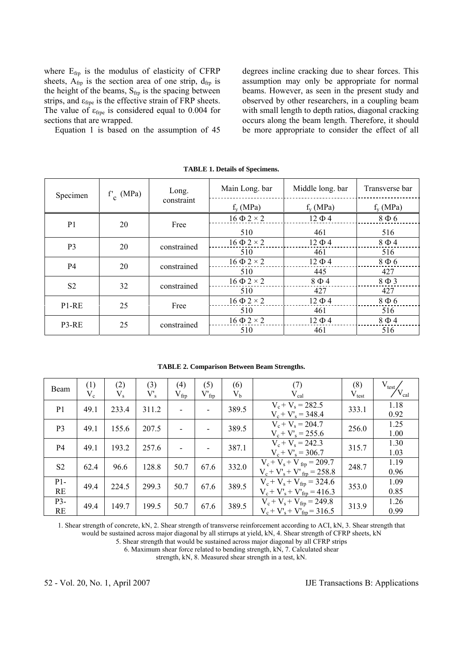where  $E_{\text{frp}}$  is the modulus of elasticity of CFRP sheets,  $A_{frp}$  is the section area of one strip,  $d_{frp}$  is the height of the beams,  $S_{frp}$  is the spacing between strips, and  $\varepsilon_{\text{fre}}$  is the effective strain of FRP sheets. The value of  $\varepsilon_{\text{free}}$  is considered equal to 0.004 for sections that are wrapped.

Equation 1 is based on the assumption of 45

degrees incline cracking due to shear forces. This assumption may only be appropriate for normal beams. However, as seen in the present study and observed by other researchers, in a coupling beam with small length to depth ratios, diagonal cracking occurs along the beam length. Therefore, it should be more appropriate to consider the effect of all

| Specimen       | $f'_{c}$ (MPa) | Long.       | Main Long. bar       | Middle long. bar | Transverse bar |
|----------------|----------------|-------------|----------------------|------------------|----------------|
|                |                | constraint  | $f_{v}$ (MPa)        | $f_{v}$ (MPa)    | $f_{v}$ (MPa)  |
| P <sub>1</sub> | 20             | Free        | $16 \Phi 2 \times 2$ | $12 \Phi 4$      | $8\Phi$ 6      |
|                |                |             | 510                  | 461              | 516            |
| P <sub>3</sub> | 20             | constrained | $16 \Phi 2 \times 2$ | $12 \Phi 4$      | $8\Phi4$       |
|                |                |             | 510                  | 461              | 516            |
| P4             | 20             | constrained | $16 \Phi 2 \times 2$ | $12 \Phi 4$      | $8\Phi$ 6      |
|                |                |             | 510                  | 445              | 427            |
| S <sub>2</sub> | 32             | constrained | $16 \Phi 2 \times 2$ | $8\Phi4$         | $8 \Phi 3$     |
|                |                |             | 510                  | 427              | 427            |
| $P1-RE$        | 25             | Free        | $16 \Phi 2 \times 2$ | $12 \Phi 4$      | $8\Phi$ 6      |
|                |                |             | 510                  | 461              | 516            |
| P3-RE          | 25             | constrained | $16 \Phi 2 \times 2$ | $12 \Phi 4$      | $8\Phi4$       |
|                |                |             | 510                  | 461              | 516            |

**TABLE 2. Comparison Between Beam Strengths.** 

| Beam             | (1)<br>$V_c$ | (2)<br>$V_{\rm s}$ | (3)<br>$V_{s}$ | (4)<br>$V_{\text{frp}}$  | (5)<br>$V'_{frp}$ | (6)<br>$V_{\rm b}$ | (7)<br>$V_{cal}$                                                | (8)<br>$V_{test}$ | $V_{test}$<br>${\rm V}_{\rm cal}$ |
|------------------|--------------|--------------------|----------------|--------------------------|-------------------|--------------------|-----------------------------------------------------------------|-------------------|-----------------------------------|
| P <sub>1</sub>   | 49.1         | 233.4              | 311.2          | $\blacksquare$           |                   | 389.5              | $V_c + V_s = 282.5$<br>$V_c + V_s = 348.4$                      | 333.1             | 1.18<br>0.92                      |
| P <sub>3</sub>   | 49.1         | 155.6              | 207.5          | $\blacksquare$           |                   | 389.5              | $V_c + V_s = 204.7$<br>$V_c + V_s = 255.6$                      | 256.0             | 1.25<br>1.00                      |
| <b>P4</b>        | 49.1         | 193.2              | 257.6          | $\overline{\phantom{a}}$ |                   | 387.1              | $V_c + V_s = 242.3$<br>$V_c + V_s = 306.7$                      | 315.7             | 1.30<br>1.03                      |
| S <sub>2</sub>   | 62.4         | 96.6               | 128.8          | 50.7                     | 67.6              | 332.0              | $V_c + V_s + V_{frp} = 209.7$<br>$V_c + V_s + V_{frn} = 258.8$  | 248.7             | 1.19<br>0.96                      |
| $P1-$<br>RE      | 49.4         | 224.5              | 299.3          | 50.7                     | 67.6              | 389.5              | $V_c + V_s + V_{frp} = 324.6$<br>$V_c + V_s' + V_{frp} = 416.3$ | 353.0             | 1.09<br>0.85                      |
| P3-<br><b>RE</b> | 49.4         | 149.7              | 199.5          | 50.7                     | 67.6              | 389.5              | $V_c + V_s + V_{frp} = 249.8$<br>$V_c + V_s + V_{frn} = 316.5$  | 313.9             | 1.26<br>0.99                      |

1. Shear strength of concrete, kN, 2. Shear strength of transverse reinforcement according to ACI, kN, 3. Shear strength that would be sustained across major diagonal by all stirrups at yield, kN, 4. Shear strength of CFRP sheets, kN

5. Shear strength that would be sustained across major diagonal by all CFRP strips

6. Maximum shear force related to bending strength, kN, 7. Calculated shear

strength, kN, 8. Measured shear strength in a test, kN.

52 - Vol. 20, No. 1, April 2007 IJE Transactions B: Applications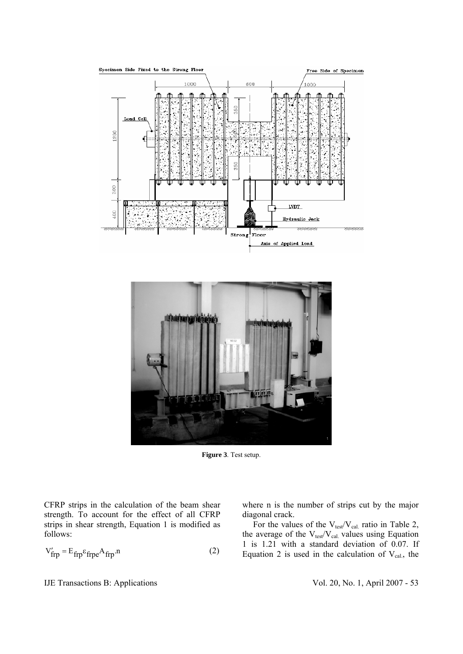



**Figure 3**. Test setup.

CFRP strips in the calculation of the beam shear strength. To account for the effect of all CFRP strips in shear strength, Equation 1 is modified as follows:

$$
V'_{frp} = E_{frp} \varepsilon_{frpe} A_{frp} .
$$
 (2)

where n is the number of strips cut by the major diagonal crack.

For the values of the  $V_{\text{test}}/V_{\text{cal}}$  ratio in Table 2, the average of the  $V_{test}/V_{cal}$  values using Equation 1 is 1.21 with a standard deviation of 0.07. If Equation 2 is used in the calculation of  $V_{cal}$ , the

IJE Transactions B: Applications Vol. 20, No. 1, April 2007 - 53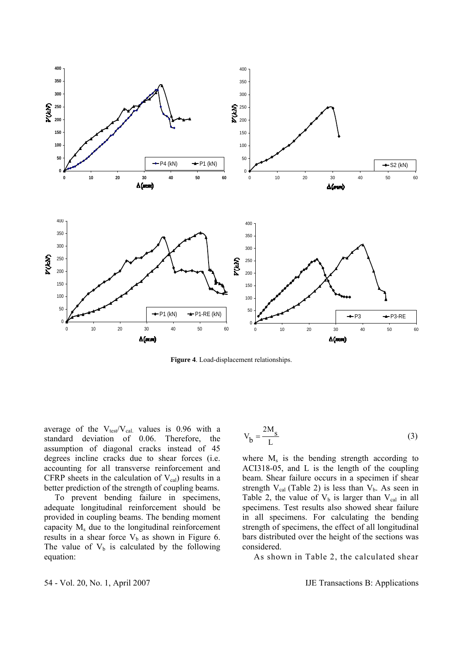

**Figure 4**. Load-displacement relationships.

average of the  $V_{test}/V_{cal}$  values is 0.96 with a standard deviation of 0.06. Therefore, the assumption of diagonal cracks instead of 45 degrees incline cracks due to shear forces (i.e. accounting for all transverse reinforcement and CFRP sheets in the calculation of  $V_{cal}$ ) results in a better prediction of the strength of coupling beams.

 To prevent bending failure in specimens, adequate longitudinal reinforcement should be provided in coupling beams. The bending moment capacity  $M_s$  due to the longitudinal reinforcement results in a shear force  $V_b$  as shown in Figure 6. The value of  $V_b$  is calculated by the following equation:

$$
V_b = \frac{2M_s}{L}
$$
 (3)

where  $M_s$  is the bending strength according to ACI318-05, and L is the length of the coupling beam. Shear failure occurs in a specimen if shear strength  $V_{cal}$  (Table 2) is less than  $V_b$ . As seen in Table 2, the value of  $V_b$  is larger than  $V_{cal}$  in all specimens. Test results also showed shear failure in all specimens. For calculating the bending strength of specimens, the effect of all longitudinal bars distributed over the height of the sections was considered.

As shown in Table 2, the calculated shear

54 - Vol. 20, No. 1, April 2007 IJE Transactions B: Applications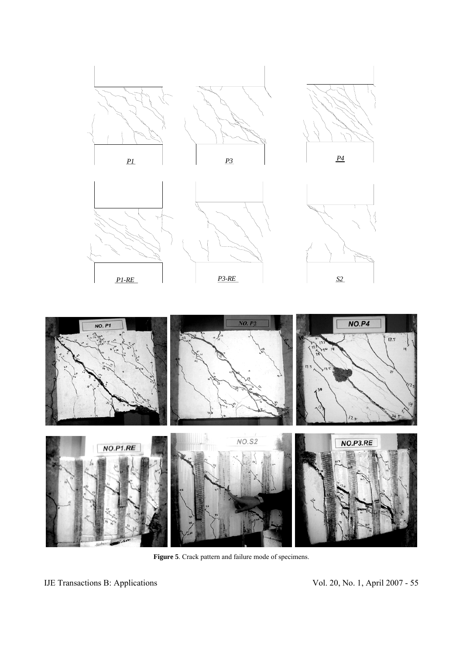













**Figure 5**. Crack pattern and failure mode of specimens.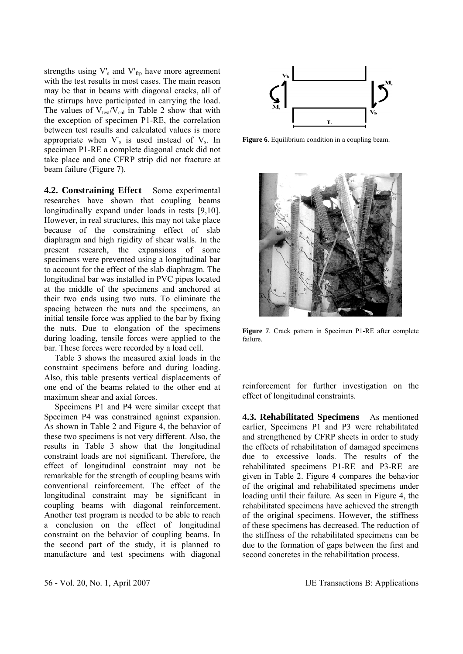strengths using V'<sub>s</sub> and V'<sub>frp</sub> have more agreement with the test results in most cases. The main reason may be that in beams with diagonal cracks, all of the stirrups have participated in carrying the load. The values of  $V_{\text{test}}/V_{\text{cal}}$  in Table 2 show that with the exception of specimen P1-RE, the correlation between test results and calculated values is more appropriate when  $V_s$  is used instead of  $V_s$ . In specimen P1-RE a complete diagonal crack did not take place and one CFRP strip did not fracture at beam failure (Figure 7).

**4.2. Constraining Effect** Some experimental researches have shown that coupling beams longitudinally expand under loads in tests [9,10]. However, in real structures, this may not take place because of the constraining effect of slab diaphragm and high rigidity of shear walls. In the present research, the expansions of some specimens were prevented using a longitudinal bar to account for the effect of the slab diaphragm. The longitudinal bar was installed in PVC pipes located at the middle of the specimens and anchored at their two ends using two nuts. To eliminate the spacing between the nuts and the specimens, an initial tensile force was applied to the bar by fixing the nuts. Due to elongation of the specimens during loading, tensile forces were applied to the bar. These forces were recorded by a load cell.

 Table 3 shows the measured axial loads in the constraint specimens before and during loading. Also, this table presents vertical displacements of one end of the beams related to the other end at maximum shear and axial forces.

 Specimens P1 and P4 were similar except that Specimen P4 was constrained against expansion. As shown in Table 2 and Figure 4, the behavior of these two specimens is not very different. Also, the results in Table 3 show that the longitudinal constraint loads are not significant. Therefore, the effect of longitudinal constraint may not be remarkable for the strength of coupling beams with conventional reinforcement. The effect of the longitudinal constraint may be significant in coupling beams with diagonal reinforcement. Another test program is needed to be able to reach a conclusion on the effect of longitudinal constraint on the behavior of coupling beams. In the second part of the study, it is planned to manufacture and test specimens with diagonal



**Figure 6**. Equilibrium condition in a coupling beam.



**Figure 7**. Crack pattern in Specimen P1-RE after complete failure.

reinforcement for further investigation on the effect of longitudinal constraints.

**4.3. Rehabilitated Specimens** As mentioned earlier, Specimens P1 and P3 were rehabilitated and strengthened by CFRP sheets in order to study the effects of rehabilitation of damaged specimens due to excessive loads. The results of the rehabilitated specimens P1-RE and P3-RE are given in Table 2. Figure 4 compares the behavior of the original and rehabilitated specimens under loading until their failure. As seen in Figure 4, the rehabilitated specimens have achieved the strength of the original specimens. However, the stiffness of these specimens has decreased. The reduction of the stiffness of the rehabilitated specimens can be due to the formation of gaps between the first and second concretes in the rehabilitation process.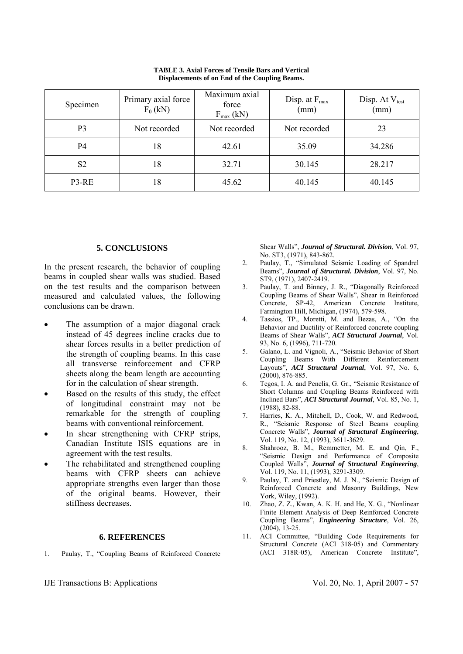| Specimen       | Primary axial force<br>$F_0$ (kN) | Maximum axial<br>force<br>$F_{\text{max}}$ (kN) | Disp. at $F_{\text{max}}$<br>(mm) | Disp. At $V_{test}$<br>(mm) |
|----------------|-----------------------------------|-------------------------------------------------|-----------------------------------|-----------------------------|
| P <sub>3</sub> | Not recorded                      | Not recorded                                    | Not recorded                      | 23                          |
| P4             | 18                                | 42.61                                           | 35.09                             | 34.286                      |
| S <sub>2</sub> | 18                                | 32.71                                           | 30.145                            | 28.217                      |
| P3-RE          | 18                                | 45.62                                           | 40.145                            | 40.145                      |

**TABLE 3. Axial Forces of Tensile Bars and Vertical Displacements of on End of the Coupling Beams.** 

#### **5. CONCLUSIONS**

In the present research, the behavior of coupling beams in coupled shear walls was studied. Based on the test results and the comparison between measured and calculated values, the following conclusions can be drawn.

- The assumption of a major diagonal crack instead of 45 degrees incline cracks due to shear forces results in a better prediction of the strength of coupling beams. In this case all transverse reinforcement and CFRP sheets along the beam length are accounting for in the calculation of shear strength.
- Based on the results of this study, the effect of longitudinal constraint may not be remarkable for the strength of coupling beams with conventional reinforcement.
- In shear strengthening with CFRP strips, Canadian Institute ISIS equations are in agreement with the test results.
- The rehabilitated and strengthened coupling beams with CFRP sheets can achieve appropriate strengths even larger than those of the original beams. However, their stiffness decreases.

## **6. REFERENCES**

1. Paulay, T., "Coupling Beams of Reinforced Concrete

IJE Transactions B: Applications Vol. 20, No. 1, April 2007 - 57

Shear Walls", *Journal of Structural. Division*, Vol. 97, No. ST3, (1971), 843-862.

- 2. Paulay, T., "Simulated Seismic Loading of Spandrel Beams", *Journal of Structural. Division*, Vol. 97, No. ST9, (1971), 2407-2419.
- 3. Paulay, T. and Binney, J. R., "Diagonally Reinforced Coupling Beams of Shear Walls", Shear in Reinforced Concrete, SP-42, American Concrete Institute, Farmington Hill, Michigan, (1974), 579-598.
- 4. Tassios, TP., Moretti, M. and Bezas, A., "On the Behavior and Ductility of Reinforced concrete coupling Beams of Shear Walls", *ACI Structural Journal*, Vol. 93, No. 6, (1996), 711-720.
- 5. Galano, L. and Vignoli, A., "Seismic Behavior of Short Coupling Beams With Different Reinforcement Layouts", *ACI Structural Journal*, Vol. 97, No. 6, (2000), 876-885.
- 6. Tegos, I. A. and Penelis, G. Gr., "Seismic Resistance of Short Columns and Coupling Beams Reinforced with Inclined Bars", *ACI Structural Journal*, Vol. 85, No. 1, (1988), 82-88.
- 7. Harries, K. A., Mitchell, D., Cook, W. and Redwood, R., "Seismic Response of Steel Beams coupling Concrete Walls", *Journal of Structural Engineering*, Vol. 119, No. 12, (1993), 3611-3629.
- 8. Shahrooz, B. M., Remmetter, M. E. and Qin, F., "Seismic Design and Performance of Composite Coupled Walls", *Journal of Structural Engineering*, Vol. 119, No. 11, (1993), 3291-3309.
- 9. Paulay, T. and Priestley, M. J. N., "Seismic Design of Reinforced Concrete and Masonry Buildings, New York, Wiley, (1992).
- 10. Zhao, Z. Z., Kwan, A. K. H. and He, X. G., "Nonlinear Finite Element Analysis of Deep Reinforced Concrete Coupling Beams", *Engineering Structure*, Vol. 26, (2004), 13-25.
- 11. ACI Committee, "Building Code Requirements for Structural Concrete (ACI 318-05) and Commentary (ACI 318R-05), American Concrete Institute",